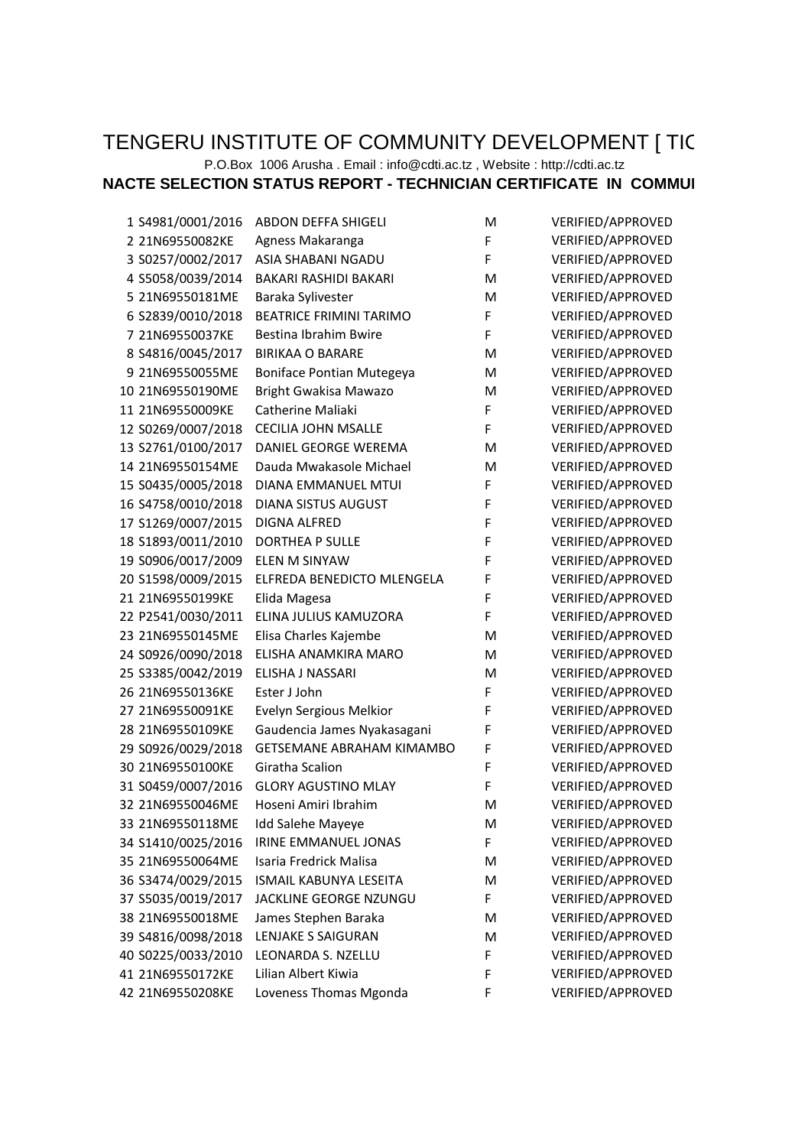## TENGERU INSTITUTE OF COMMUNITY DEVELOPMENT [ TIC

## P.O.Box 1006 Arusha . Email : info@cdti.ac.tz , Website : http://cdti.ac.tz

## **NACTE SELECTION STATUS REPORT - TECHNICIAN CERTIFICATE IN COMMUI**

| 1 S4981/0001/2016  | <b>ABDON DEFFA SHIGELI</b>       | M | VERIFIED/APPROVED |
|--------------------|----------------------------------|---|-------------------|
| 2 21N69550082KE    | Agness Makaranga                 | F | VERIFIED/APPROVED |
| 3 S0257/0002/2017  | ASIA SHABANI NGADU               | F | VERIFIED/APPROVED |
| 4 S5058/0039/2014  | BAKARI RASHIDI BAKARI            | M | VERIFIED/APPROVED |
| 5 21N69550181ME    | Baraka Sylivester                | M | VERIFIED/APPROVED |
| 6 S2839/0010/2018  | <b>BEATRICE FRIMINI TARIMO</b>   | F | VERIFIED/APPROVED |
| 7 21N69550037KE    | Bestina Ibrahim Bwire            | F | VERIFIED/APPROVED |
| 8 S4816/0045/2017  | <b>BIRIKAA O BARARE</b>          | M | VERIFIED/APPROVED |
| 9 21N69550055ME    | Boniface Pontian Mutegeya        | M | VERIFIED/APPROVED |
| 10 21N69550190ME   | Bright Gwakisa Mawazo            | M | VERIFIED/APPROVED |
| 11 21N69550009KE   | Catherine Maliaki                | F | VERIFIED/APPROVED |
| 12 S0269/0007/2018 | <b>CECILIA JOHN MSALLE</b>       | F | VERIFIED/APPROVED |
| 13 S2761/0100/2017 | DANIEL GEORGE WEREMA             | M | VERIFIED/APPROVED |
| 14 21N69550154ME   | Dauda Mwakasole Michael          | M | VERIFIED/APPROVED |
| 15 S0435/0005/2018 | DIANA EMMANUEL MTUI              | F | VERIFIED/APPROVED |
| 16 S4758/0010/2018 | DIANA SISTUS AUGUST              | F | VERIFIED/APPROVED |
| 17 S1269/0007/2015 | DIGNA ALFRED                     | F | VERIFIED/APPROVED |
| 18 S1893/0011/2010 | DORTHEA P SULLE                  | F | VERIFIED/APPROVED |
| 19 S0906/0017/2009 | <b>ELEN M SINYAW</b>             | F | VERIFIED/APPROVED |
| 20 S1598/0009/2015 | ELFREDA BENEDICTO MLENGELA       | F | VERIFIED/APPROVED |
| 21 21N69550199KE   | Elida Magesa                     | F | VERIFIED/APPROVED |
| 22 P2541/0030/2011 | ELINA JULIUS KAMUZORA            | F | VERIFIED/APPROVED |
| 23 21N69550145ME   | Elisa Charles Kajembe            | M | VERIFIED/APPROVED |
| 24 S0926/0090/2018 | ELISHA ANAMKIRA MARO             | M | VERIFIED/APPROVED |
| 25 S3385/0042/2019 | ELISHA J NASSARI                 | M | VERIFIED/APPROVED |
| 26 21N69550136KE   | Ester J John                     | F | VERIFIED/APPROVED |
| 27 21N69550091KE   | Evelyn Sergious Melkior          | F | VERIFIED/APPROVED |
| 28 21N69550109KE   | Gaudencia James Nyakasagani      | F | VERIFIED/APPROVED |
| 29 S0926/0029/2018 | <b>GETSEMANE ABRAHAM KIMAMBO</b> | F | VERIFIED/APPROVED |
| 30 21N69550100KE   | Giratha Scalion                  | F | VERIFIED/APPROVED |
| 31 S0459/0007/2016 | <b>GLORY AGUSTINO MLAY</b>       | F | VERIFIED/APPROVED |
| 32 21N69550046ME   | Hoseni Amiri Ibrahim             | M | VERIFIED/APPROVED |
| 33 21N69550118ME   | Idd Salehe Mayeye                | м | VERIFIED/APPROVED |
| 34 S1410/0025/2016 | IRINE EMMANUEL JONAS             | F | VERIFIED/APPROVED |
| 35 21N69550064ME   | Isaria Fredrick Malisa           | M | VERIFIED/APPROVED |
| 36 S3474/0029/2015 | ISMAIL KABUNYA LESEITA           | M | VERIFIED/APPROVED |
| 37 S5035/0019/2017 | JACKLINE GEORGE NZUNGU           | F | VERIFIED/APPROVED |
| 38 21N69550018ME   | James Stephen Baraka             | M | VERIFIED/APPROVED |
| 39 S4816/0098/2018 | <b>LENJAKE S SAIGURAN</b>        | M | VERIFIED/APPROVED |
| 40 S0225/0033/2010 | LEONARDA S. NZELLU               | F | VERIFIED/APPROVED |
| 41 21N69550172KE   | Lilian Albert Kiwia              | F | VERIFIED/APPROVED |
| 42 21N69550208KE   | Loveness Thomas Mgonda           | F | VERIFIED/APPROVED |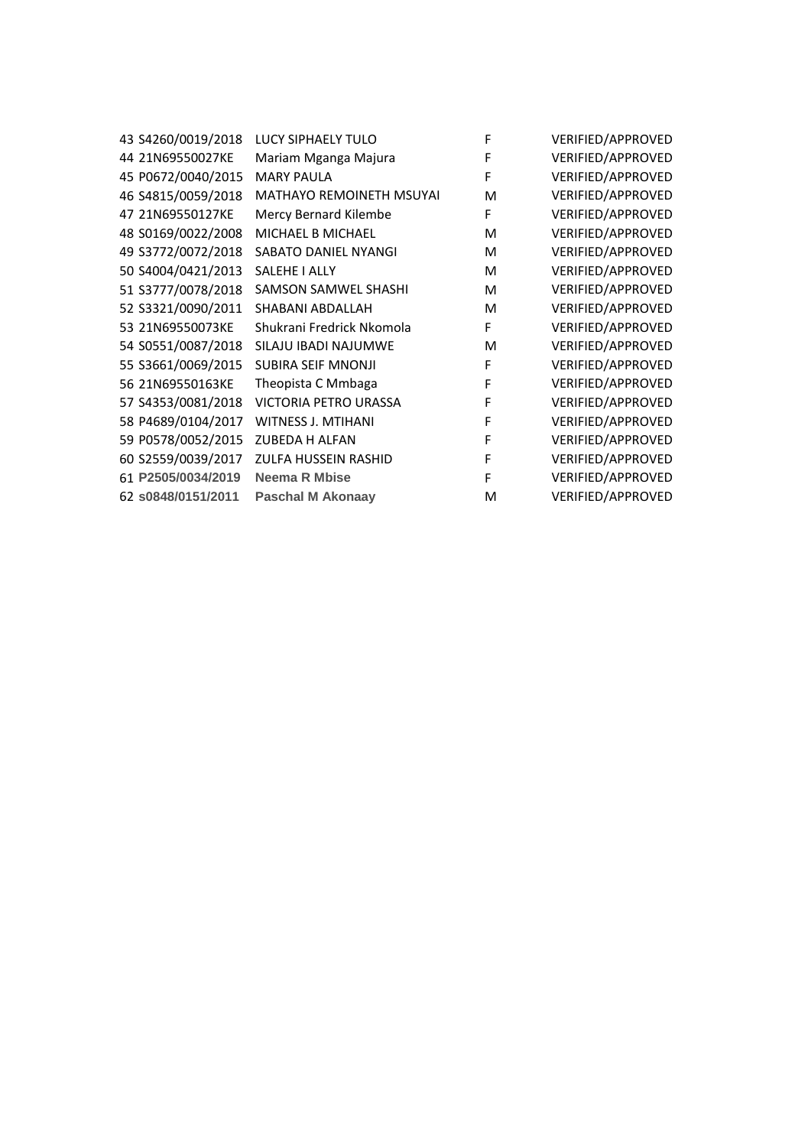| 43 S4260/0019/2018 | <b>LUCY SIPHAELY TULO</b> | F | VERIFIED/APPROVED |
|--------------------|---------------------------|---|-------------------|
| 44 21N69550027KE   | Mariam Mganga Majura      | F | VERIFIED/APPROVED |
| 45 P0672/0040/2015 | <b>MARY PAULA</b>         | F | VERIFIED/APPROVED |
| 46 S4815/0059/2018 | MATHAYO REMOINETH MSUYAI  | M | VERIFIED/APPROVED |
| 47 21N69550127KE   | Mercy Bernard Kilembe     | F | VERIFIED/APPROVED |
| 48 S0169/0022/2008 | MICHAEL B MICHAEL         | M | VERIFIED/APPROVED |
| 49 S3772/0072/2018 | SABATO DANIEL NYANGI      | M | VERIFIED/APPROVED |
| 50 S4004/0421/2013 | SALEHE I ALLY             | M | VERIFIED/APPROVED |
| 51 S3777/0078/2018 | SAMSON SAMWEL SHASHI      | M | VERIFIED/APPROVED |
| 52 S3321/0090/2011 | SHABANI ABDALLAH          | M | VERIFIED/APPROVED |
| 53 21N69550073KE   | Shukrani Fredrick Nkomola | F | VERIFIED/APPROVED |
| 54 S0551/0087/2018 | SILAJU IBADI NAJUMWE      | M | VERIFIED/APPROVED |
| 55 S3661/0069/2015 | <b>SUBIRA SEIF MNONJI</b> | F | VERIFIED/APPROVED |
| 56 21N69550163KE   | Theopista C Mmbaga        | F | VERIFIED/APPROVED |
| 57 S4353/0081/2018 | VICTORIA PETRO URASSA     | F | VERIFIED/APPROVED |
| 58 P4689/0104/2017 | WITNESS J. MTIHANI        | F | VERIFIED/APPROVED |
| 59 P0578/0052/2015 | <b>ZUBEDA H ALFAN</b>     | F | VERIFIED/APPROVED |
| 60 S2559/0039/2017 | ZULFA HUSSEIN RASHID      | F | VERIFIED/APPROVED |
| 61 P2505/0034/2019 | <b>Neema R Mbise</b>      | F | VERIFIED/APPROVED |
| 62 s0848/0151/2011 | <b>Paschal M Akonaay</b>  | M | VERIFIED/APPROVED |